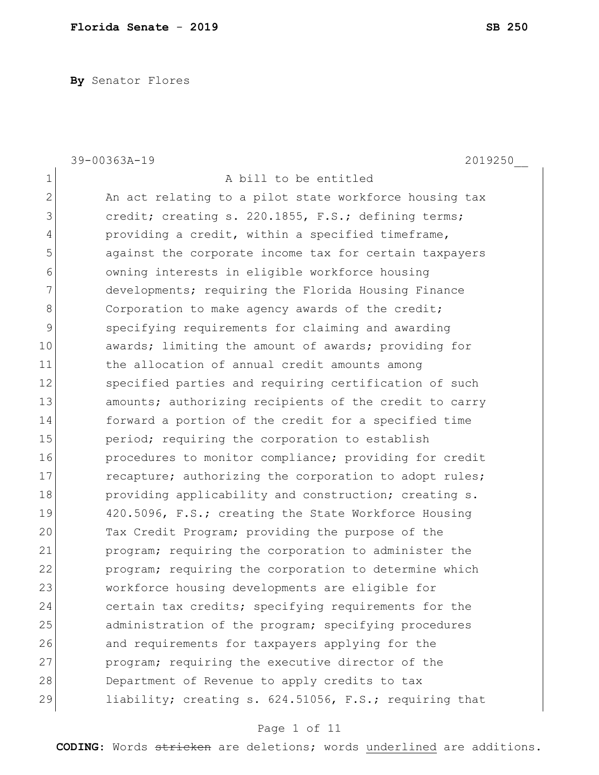**By** Senator Flores

|                | 39-00363A-19<br>2019250                                |
|----------------|--------------------------------------------------------|
| $\mathbf 1$    | A bill to be entitled                                  |
| $\overline{2}$ | An act relating to a pilot state workforce housing tax |
| 3              | credit; creating s. 220.1855, F.S.; defining terms;    |
| 4              | providing a credit, within a specified timeframe,      |
| 5              | against the corporate income tax for certain taxpayers |
| 6              | owning interests in eligible workforce housing         |
| 7              | developments; requiring the Florida Housing Finance    |
| 8              | Corporation to make agency awards of the credit;       |
| $\mathsf 9$    | specifying requirements for claiming and awarding      |
| 10             | awards; limiting the amount of awards; providing for   |
| 11             | the allocation of annual credit amounts among          |
| 12             | specified parties and requiring certification of such  |
| 13             | amounts; authorizing recipients of the credit to carry |
| 14             | forward a portion of the credit for a specified time   |
| 15             | period; requiring the corporation to establish         |
| 16             | procedures to monitor compliance; providing for credit |
| 17             | recapture; authorizing the corporation to adopt rules; |
| 18             | providing applicability and construction; creating s.  |
| 19             | 420.5096, F.S.; creating the State Workforce Housing   |
| 20             | Tax Credit Program; providing the purpose of the       |
| 21             | program; requiring the corporation to administer the   |
| 22             | program; requiring the corporation to determine which  |
| 23             | workforce housing developments are eligible for        |
| 24             | certain tax credits; specifying requirements for the   |
| 25             | administration of the program; specifying procedures   |
| 26             | and requirements for taxpayers applying for the        |
| 27             | program; requiring the executive director of the       |
| 28             | Department of Revenue to apply credits to tax          |
| 29             | liability; creating s. 624.51056, F.S.; requiring that |

# Page 1 of 11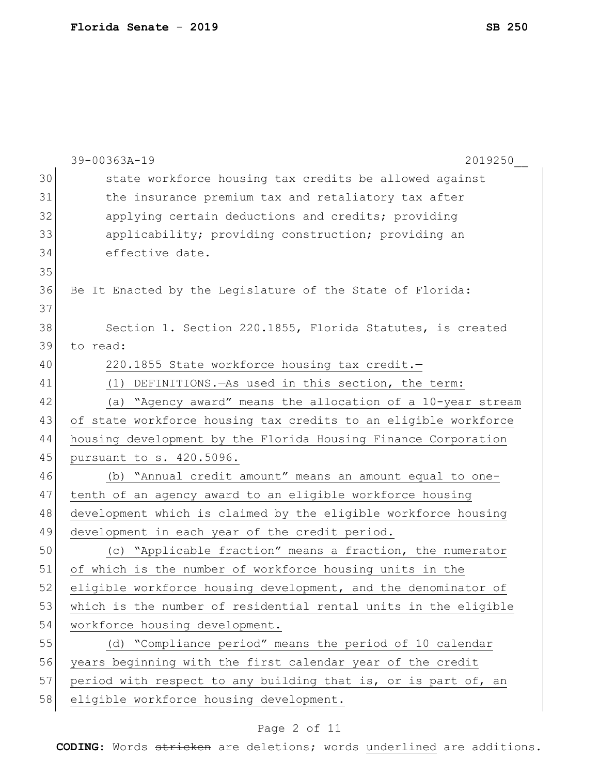|    | 39-00363A-19<br>2019250                                         |
|----|-----------------------------------------------------------------|
| 30 | state workforce housing tax credits be allowed against          |
| 31 | the insurance premium tax and retaliatory tax after             |
| 32 | applying certain deductions and credits; providing              |
| 33 | applicability; providing construction; providing an             |
| 34 | effective date.                                                 |
| 35 |                                                                 |
| 36 | Be It Enacted by the Legislature of the State of Florida:       |
| 37 |                                                                 |
| 38 | Section 1. Section 220.1855, Florida Statutes, is created       |
| 39 | to read:                                                        |
| 40 | 220.1855 State workforce housing tax credit.-                   |
| 41 | (1) DEFINITIONS. - As used in this section, the term:           |
| 42 | (a) "Agency award" means the allocation of a 10-year stream     |
| 43 | of state workforce housing tax credits to an eligible workforce |
| 44 | housing development by the Florida Housing Finance Corporation  |
| 45 | pursuant to s. 420.5096.                                        |
| 46 | (b) "Annual credit amount" means an amount equal to one-        |
| 47 | tenth of an agency award to an eligible workforce housing       |
| 48 | development which is claimed by the eligible workforce housing  |
| 49 | development in each year of the credit period.                  |
| 50 | (c) "Applicable fraction" means a fraction, the numerator       |
| 51 | of which is the number of workforce housing units in the        |
| 52 | eligible workforce housing development, and the denominator of  |
| 53 | which is the number of residential rental units in the eligible |
| 54 | workforce housing development.                                  |
| 55 | (d) "Compliance period" means the period of 10 calendar         |
| 56 | years beginning with the first calendar year of the credit      |
| 57 | period with respect to any building that is, or is part of, an  |
| 58 | eligible workforce housing development.                         |

# Page 2 of 11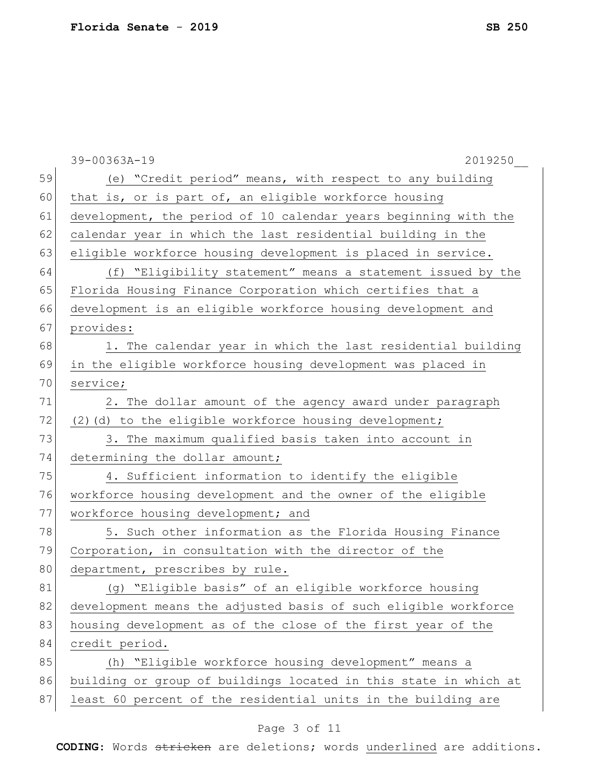|    | 39-00363A-19<br>2019250                                          |
|----|------------------------------------------------------------------|
| 59 | (e) "Credit period" means, with respect to any building          |
| 60 | that is, or is part of, an eligible workforce housing            |
| 61 | development, the period of 10 calendar years beginning with the  |
| 62 | calendar year in which the last residential building in the      |
| 63 | eligible workforce housing development is placed in service.     |
| 64 | (f) "Eligibility statement" means a statement issued by the      |
| 65 | Florida Housing Finance Corporation which certifies that a       |
| 66 | development is an eligible workforce housing development and     |
| 67 | provides:                                                        |
| 68 | 1. The calendar year in which the last residential building      |
| 69 | in the eligible workforce housing development was placed in      |
| 70 | service;                                                         |
| 71 | 2. The dollar amount of the agency award under paragraph         |
| 72 | (2) (d) to the eligible workforce housing development;           |
| 73 | 3. The maximum qualified basis taken into account in             |
| 74 | determining the dollar amount;                                   |
| 75 | 4. Sufficient information to identify the eligible               |
| 76 | workforce housing development and the owner of the eligible      |
| 77 | workforce housing development; and                               |
| 78 | 5. Such other information as the Florida Housing Finance         |
| 79 | Corporation, in consultation with the director of the            |
| 80 | department, prescribes by rule.                                  |
| 81 | (g) "Eligible basis" of an eligible workforce housing            |
| 82 | development means the adjusted basis of such eligible workforce  |
| 83 | housing development as of the close of the first year of the     |
| 84 | credit period.                                                   |
| 85 | (h) "Eligible workforce housing development" means a             |
| 86 | building or group of buildings located in this state in which at |
| 87 | least 60 percent of the residential units in the building are    |
|    |                                                                  |

# Page 3 of 11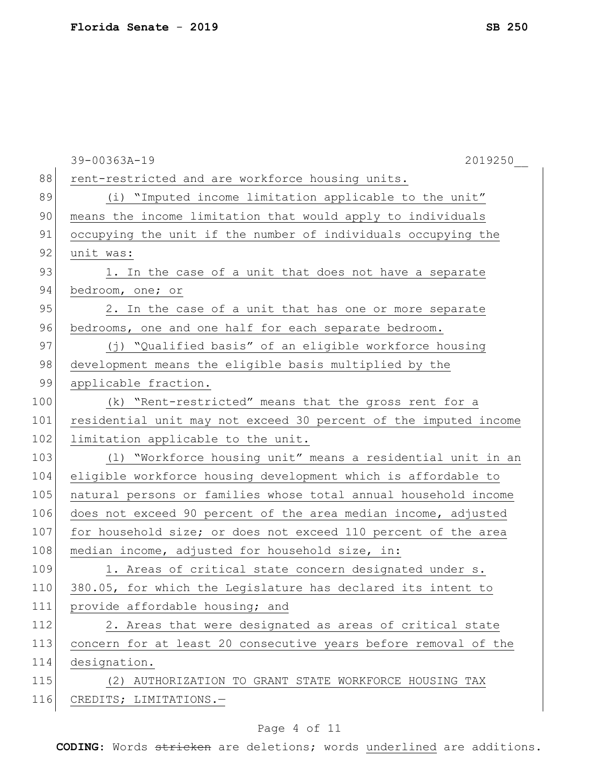|     | 39-00363A-19<br>2019250                                          |
|-----|------------------------------------------------------------------|
| 88  | rent-restricted and are workforce housing units.                 |
| 89  | (i) "Imputed income limitation applicable to the unit"           |
| 90  | means the income limitation that would apply to individuals      |
| 91  | occupying the unit if the number of individuals occupying the    |
| 92  | unit was:                                                        |
| 93  | 1. In the case of a unit that does not have a separate           |
| 94  | bedroom, one; or                                                 |
| 95  | 2. In the case of a unit that has one or more separate           |
| 96  | bedrooms, one and one half for each separate bedroom.            |
| 97  | (j) "Qualified basis" of an eligible workforce housing           |
| 98  | development means the eligible basis multiplied by the           |
| 99  | applicable fraction.                                             |
| 100 | (k) "Rent-restricted" means that the gross rent for a            |
| 101 | residential unit may not exceed 30 percent of the imputed income |
| 102 | limitation applicable to the unit.                               |
| 103 | (1) "Workforce housing unit" means a residential unit in an      |
| 104 | eligible workforce housing development which is affordable to    |
| 105 | natural persons or families whose total annual household income  |
| 106 | does not exceed 90 percent of the area median income, adjusted   |
| 107 | for household size; or does not exceed 110 percent of the area   |
| 108 | median income, adjusted for household size, in:                  |
| 109 | 1. Areas of critical state concern designated under s.           |
| 110 | 380.05, for which the Legislature has declared its intent to     |
| 111 | provide affordable housing; and                                  |
| 112 | 2. Areas that were designated as areas of critical state         |
| 113 | concern for at least 20 consecutive years before removal of the  |
| 114 | designation.                                                     |
| 115 | (2) AUTHORIZATION TO GRANT STATE WORKFORCE HOUSING TAX           |
| 116 | CREDITS; LIMITATIONS.-                                           |
|     |                                                                  |

# Page 4 of 11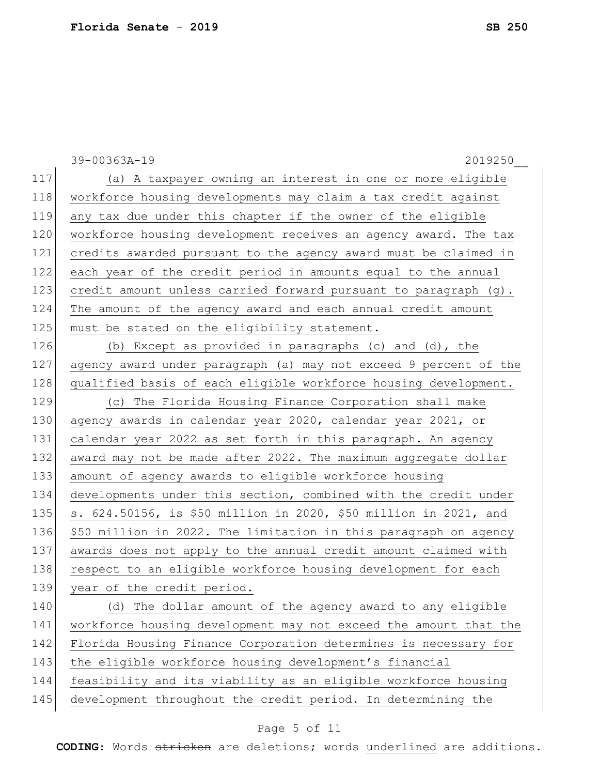|     | 39-00363A-19<br>2019250                                          |
|-----|------------------------------------------------------------------|
| 117 | (a) A taxpayer owning an interest in one or more eligible        |
| 118 | workforce housing developments may claim a tax credit against    |
| 119 | any tax due under this chapter if the owner of the eligible      |
| 120 | workforce housing development receives an agency award. The tax  |
| 121 | credits awarded pursuant to the agency award must be claimed in  |
| 122 | each year of the credit period in amounts equal to the annual    |
| 123 | credit amount unless carried forward pursuant to paragraph (g).  |
| 124 | The amount of the agency award and each annual credit amount     |
| 125 | must be stated on the eligibility statement.                     |
| 126 | (b) Except as provided in paragraphs (c) and (d), the            |
| 127 | agency award under paragraph (a) may not exceed 9 percent of the |
| 128 | qualified basis of each eligible workforce housing development.  |
| 129 | (c) The Florida Housing Finance Corporation shall make           |
| 130 | agency awards in calendar year 2020, calendar year 2021, or      |
| 131 | calendar year 2022 as set forth in this paragraph. An agency     |
| 132 | award may not be made after 2022. The maximum aggregate dollar   |
| 133 | amount of agency awards to eligible workforce housing            |
| 134 | developments under this section, combined with the credit under  |
| 135 | s. 624.50156, is \$50 million in 2020, \$50 million in 2021, and |
| 136 | \$50 million in 2022. The limitation in this paragraph on agency |
| 137 | awards does not apply to the annual credit amount claimed with   |
| 138 | respect to an eligible workforce housing development for each    |
| 139 | year of the credit period.                                       |
| 140 | (d) The dollar amount of the agency award to any eligible        |
| 141 | workforce housing development may not exceed the amount that the |
| 142 | Florida Housing Finance Corporation determines is necessary for  |
| 143 | the eligible workforce housing development's financial           |
| 144 | feasibility and its viability as an eligible workforce housing   |
| 145 | development throughout the credit period. In determining the     |
|     | Page 5 of 11                                                     |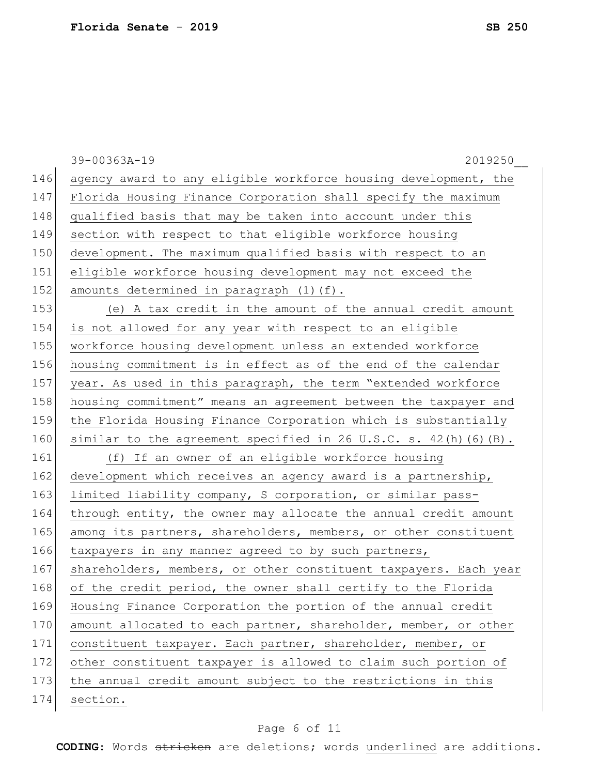|     | 39-00363A-19<br>2019250                                           |
|-----|-------------------------------------------------------------------|
| 146 | agency award to any eligible workforce housing development, the   |
| 147 | Florida Housing Finance Corporation shall specify the maximum     |
| 148 | qualified basis that may be taken into account under this         |
| 149 | section with respect to that eligible workforce housing           |
| 150 | development. The maximum qualified basis with respect to an       |
| 151 | eligible workforce housing development may not exceed the         |
| 152 | amounts determined in paragraph (1)(f).                           |
| 153 | (e) A tax credit in the amount of the annual credit amount        |
| 154 | is not allowed for any year with respect to an eligible           |
| 155 | workforce housing development unless an extended workforce        |
| 156 | housing commitment is in effect as of the end of the calendar     |
| 157 | year. As used in this paragraph, the term "extended workforce     |
| 158 | housing commitment" means an agreement between the taxpayer and   |
| 159 | the Florida Housing Finance Corporation which is substantially    |
| 160 | similar to the agreement specified in 26 U.S.C. s. 42(h) (6) (B). |
| 161 | (f) If an owner of an eligible workforce housing                  |
| 162 | development which receives an agency award is a partnership,      |
| 163 | limited liability company, S corporation, or similar pass-        |
| 164 | through entity, the owner may allocate the annual credit amount   |
| 165 | among its partners, shareholders, members, or other constituent   |
| 166 | taxpayers in any manner agreed to by such partners,               |
| 167 | shareholders, members, or other constituent taxpayers. Each year  |
| 168 | of the credit period, the owner shall certify to the Florida      |
| 169 | Housing Finance Corporation the portion of the annual credit      |
| 170 | amount allocated to each partner, shareholder, member, or other   |
| 171 | constituent taxpayer. Each partner, shareholder, member, or       |
| 172 | other constituent taxpayer is allowed to claim such portion of    |
| 173 | the annual credit amount subject to the restrictions in this      |
| 174 | section.                                                          |

# Page 6 of 11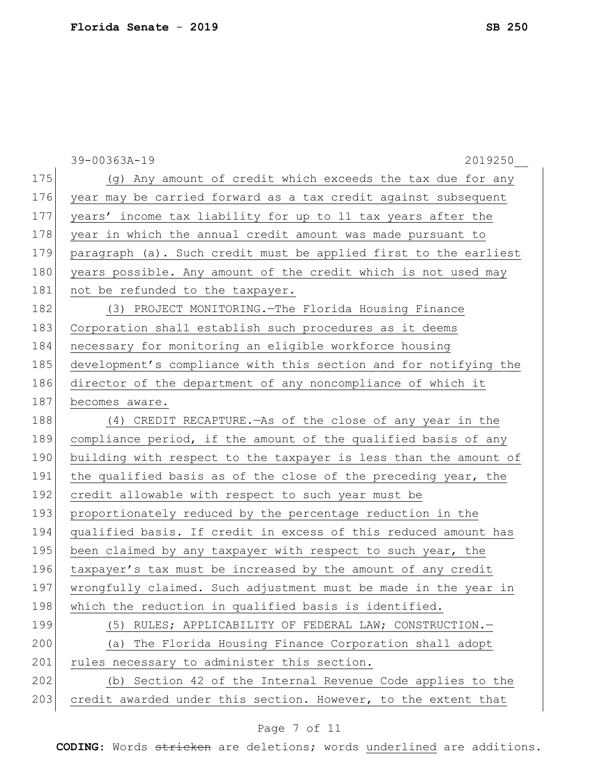|     | 39-00363A-19<br>2019250                                          |
|-----|------------------------------------------------------------------|
| 175 | (g) Any amount of credit which exceeds the tax due for any       |
| 176 | year may be carried forward as a tax credit against subsequent   |
| 177 | years' income tax liability for up to 11 tax years after the     |
| 178 | year in which the annual credit amount was made pursuant to      |
| 179 | paragraph (a). Such credit must be applied first to the earliest |
| 180 | years possible. Any amount of the credit which is not used may   |
| 181 | not be refunded to the taxpayer.                                 |
| 182 | (3) PROJECT MONITORING. The Florida Housing Finance              |
| 183 | Corporation shall establish such procedures as it deems          |
| 184 | necessary for monitoring an eligible workforce housing           |
| 185 | development's compliance with this section and for notifying the |
| 186 | director of the department of any noncompliance of which it      |
| 187 | becomes aware.                                                   |
| 188 | (4) CREDIT RECAPTURE. - As of the close of any year in the       |
| 189 | compliance period, if the amount of the qualified basis of any   |
| 190 | building with respect to the taxpayer is less than the amount of |
| 191 | the qualified basis as of the close of the preceding year, the   |
| 192 | credit allowable with respect to such year must be               |
| 193 | proportionately reduced by the percentage reduction in the       |
| 194 | qualified basis. If credit in excess of this reduced amount has  |
| 195 | been claimed by any taxpayer with respect to such year, the      |
| 196 | taxpayer's tax must be increased by the amount of any credit     |
| 197 | wrongfully claimed. Such adjustment must be made in the year in  |
| 198 | which the reduction in qualified basis is identified.            |
| 199 | (5) RULES; APPLICABILITY OF FEDERAL LAW; CONSTRUCTION.-          |
| 200 | (a) The Florida Housing Finance Corporation shall adopt          |
| 201 | rules necessary to administer this section.                      |
| 202 | (b) Section 42 of the Internal Revenue Code applies to the       |
| 203 | credit awarded under this section. However, to the extent that   |

# Page 7 of 11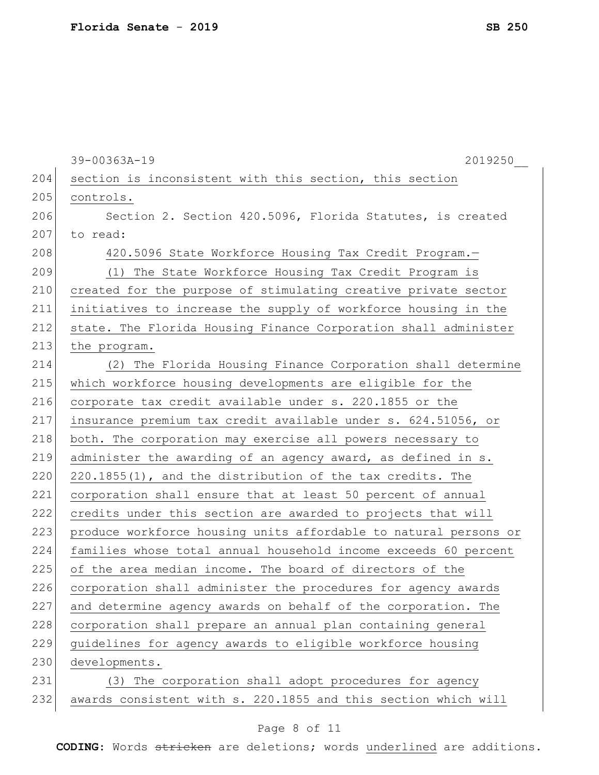|     | 39-00363A-19<br>2019250                                          |
|-----|------------------------------------------------------------------|
| 204 | section is inconsistent with this section, this section          |
| 205 | controls.                                                        |
| 206 | Section 2. Section 420.5096, Florida Statutes, is created        |
| 207 | to read:                                                         |
| 208 | 420.5096 State Workforce Housing Tax Credit Program.-            |
| 209 | (1) The State Workforce Housing Tax Credit Program is            |
| 210 | created for the purpose of stimulating creative private sector   |
| 211 | initiatives to increase the supply of workforce housing in the   |
| 212 | state. The Florida Housing Finance Corporation shall administer  |
| 213 | the program.                                                     |
| 214 | (2) The Florida Housing Finance Corporation shall determine      |
| 215 | which workforce housing developments are eligible for the        |
| 216 | corporate tax credit available under s. 220.1855 or the          |
| 217 | insurance premium tax credit available under s. 624.51056, or    |
| 218 | both. The corporation may exercise all powers necessary to       |
| 219 | administer the awarding of an agency award, as defined in s.     |
| 220 | 220.1855(1), and the distribution of the tax credits. The        |
| 221 | corporation shall ensure that at least 50 percent of annual      |
| 222 | credits under this section are awarded to projects that will     |
| 223 | produce workforce housing units affordable to natural persons or |
| 224 | families whose total annual household income exceeds 60 percent  |
| 225 | of the area median income. The board of directors of the         |
| 226 | corporation shall administer the procedures for agency awards    |
| 227 | and determine agency awards on behalf of the corporation. The    |
| 228 | corporation shall prepare an annual plan containing general      |
| 229 | guidelines for agency awards to eligible workforce housing       |
| 230 | developments.                                                    |
| 231 | (3) The corporation shall adopt procedures for agency            |
| 232 | awards consistent with s. 220.1855 and this section which will   |

# Page 8 of 11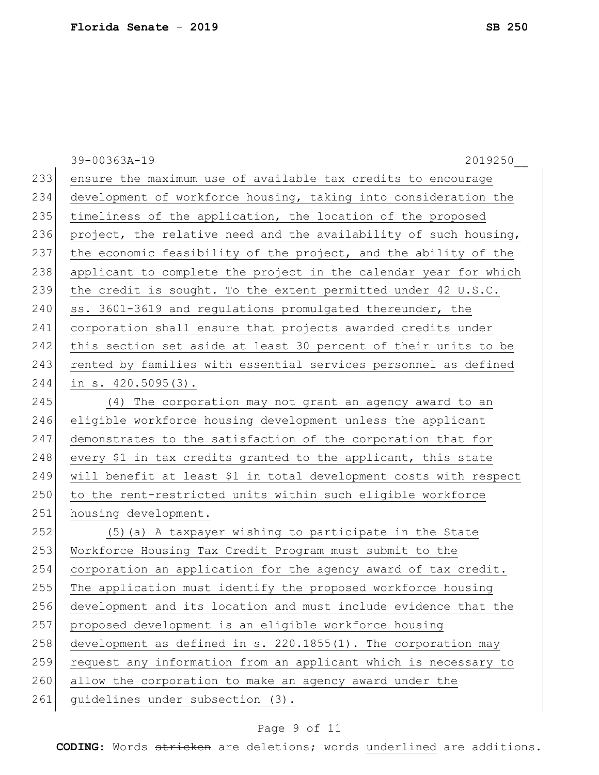|     | 39-00363A-19<br>2019250                                           |
|-----|-------------------------------------------------------------------|
| 233 | ensure the maximum use of available tax credits to encourage      |
| 234 | development of workforce housing, taking into consideration the   |
| 235 | timeliness of the application, the location of the proposed       |
| 236 | project, the relative need and the availability of such housing,  |
| 237 | the economic feasibility of the project, and the ability of the   |
| 238 | applicant to complete the project in the calendar year for which  |
| 239 | the credit is sought. To the extent permitted under 42 U.S.C.     |
| 240 | ss. 3601-3619 and regulations promulgated thereunder, the         |
| 241 | corporation shall ensure that projects awarded credits under      |
| 242 | this section set aside at least 30 percent of their units to be   |
| 243 | rented by families with essential services personnel as defined   |
| 244 | in $s. 420.5095(3)$ .                                             |
| 245 | (4) The corporation may not grant an agency award to an           |
| 246 | eligible workforce housing development unless the applicant       |
| 247 | demonstrates to the satisfaction of the corporation that for      |
| 248 | every \$1 in tax credits granted to the applicant, this state     |
| 249 | will benefit at least \$1 in total development costs with respect |
| 250 | to the rent-restricted units within such eligible workforce       |
| 251 | housing development.                                              |
| 252 | (5) (a) A taxpayer wishing to participate in the State            |
| 253 | Workforce Housing Tax Credit Program must submit to the           |
| 254 | corporation an application for the agency award of tax credit.    |
| 255 | The application must identify the proposed workforce housing      |
| 256 | development and its location and must include evidence that the   |
| 257 | proposed development is an eligible workforce housing             |
| 258 | development as defined in s. 220.1855(1). The corporation may     |
| 259 | request any information from an applicant which is necessary to   |
| 260 | allow the corporation to make an agency award under the           |
| 261 | guidelines under subsection (3).                                  |

# Page 9 of 11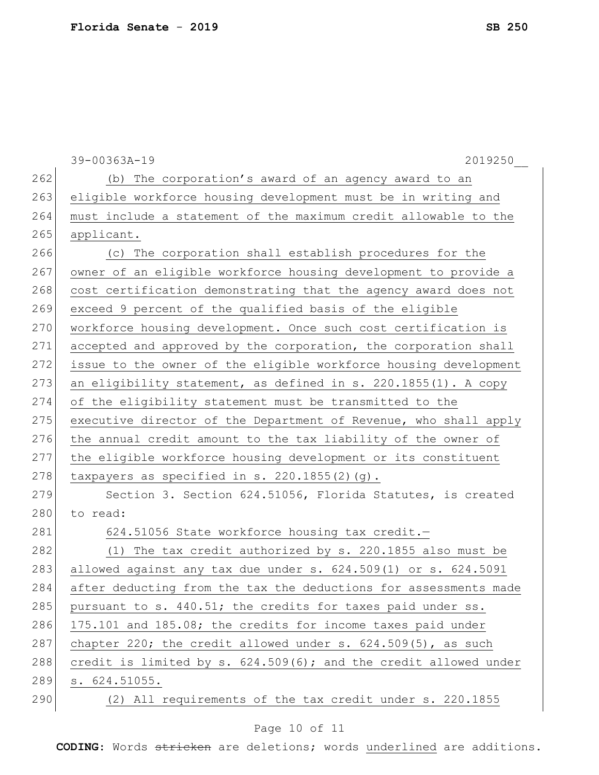|     | $39 - 00363A - 19$<br>2019250                                       |
|-----|---------------------------------------------------------------------|
| 262 | (b) The corporation's award of an agency award to an                |
| 263 | eligible workforce housing development must be in writing and       |
| 264 | must include a statement of the maximum credit allowable to the     |
| 265 | applicant.                                                          |
| 266 | (c) The corporation shall establish procedures for the              |
| 267 | owner of an eligible workforce housing development to provide a     |
| 268 | cost certification demonstrating that the agency award does not     |
| 269 | exceed 9 percent of the qualified basis of the eligible             |
| 270 | workforce housing development. Once such cost certification is      |
| 271 | accepted and approved by the corporation, the corporation shall     |
| 272 | issue to the owner of the eligible workforce housing development    |
| 273 | an eligibility statement, as defined in s. 220.1855(1). A copy      |
| 274 | of the eligibility statement must be transmitted to the             |
| 275 | executive director of the Department of Revenue, who shall apply    |
| 276 | the annual credit amount to the tax liability of the owner of       |
| 277 | the eligible workforce housing development or its constituent       |
| 278 | taxpayers as specified in s. $220.1855(2)$ (g).                     |
| 279 | Section 3. Section 624.51056, Florida Statutes, is created          |
| 280 | to read:                                                            |
| 281 | 624.51056 State workforce housing tax credit.-                      |
| 282 | (1) The tax credit authorized by s. 220.1855 also must be           |
| 283 | allowed against any tax due under $s. 624.509(1)$ or $s. 624.5091$  |
| 284 | after deducting from the tax the deductions for assessments made    |
| 285 | pursuant to s. 440.51; the credits for taxes paid under ss.         |
| 286 | 175.101 and 185.08; the credits for income taxes paid under         |
| 287 | chapter 220; the credit allowed under $s. 624.509(5)$ , as such     |
| 288 | credit is limited by $s. 624.509(6)$ ; and the credit allowed under |
| 289 | s. 624.51055.                                                       |
| 290 | (2) All requirements of the tax credit under s. 220.1855            |
|     |                                                                     |

# Page 10 of 11